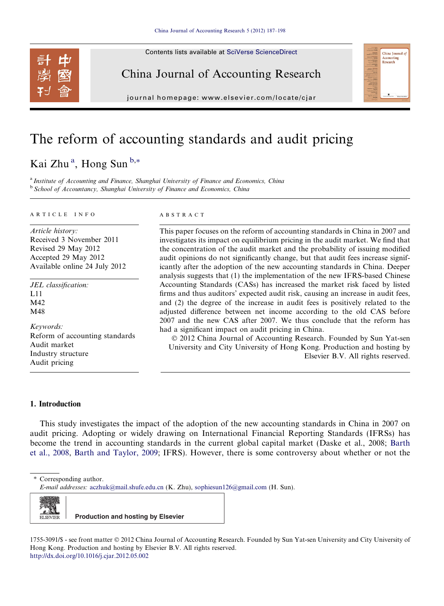Contents lists available at [SciVerse ScienceDirect](http://www.sciencedirect.com/science/journal/17553091)



China Journal of Accounting Research

journal homepage: [www.elsevier.com/locate/cjar](http://www.elsevier.com/locate/cjar)

# The reform of accounting standards and audit pricing

### Kai Zhu<sup>a</sup>, Hong Sun<sup>b,\*</sup>

<sup>a</sup> Institute of Accounting and Finance, Shanghai University of Finance and Economics, China <sup>b</sup> School of Accountancy, Shanghai University of Finance and Economics, China

#### ARTICLE INFO

Article history: Received 3 November 2011 Revised 29 May 2012 Accepted 29 May 2012 Available online 24 July 2012

JEL classification: L11 M42 M48

Keywords: Reform of accounting standards Audit market Industry structure Audit pricing

#### ABSTRACT

This paper focuses on the reform of accounting standards in China in 2007 and investigates its impact on equilibrium pricing in the audit market. We find that the concentration of the audit market and the probability of issuing modified audit opinions do not significantly change, but that audit fees increase significantly after the adoption of the new accounting standards in China. Deeper analysis suggests that (1) the implementation of the new IFRS-based Chinese Accounting Standards (CASs) has increased the market risk faced by listed firms and thus auditors' expected audit risk, causing an increase in audit fees, and (2) the degree of the increase in audit fees is positively related to the adjusted difference between net income according to the old CAS before 2007 and the new CAS after 2007. We thus conclude that the reform has had a significant impact on audit pricing in China.

China Journal o Accounting Research

© 2012 China Journal of Accounting Research. Founded by Sun Yat-sen University and City University of Hong Kong. Production and hosting by Elsevier B.V. All rights reserved.

### 1. Introduction

This study investigates the impact of the adoption of the new accounting standards in China in 2007 on audit pricing. Adopting or widely drawing on International Financial Reporting Standards (IFRSs) has become the trend in accounting standards in the current global capital market (Daske et al., 2008; [Barth](#page--1-0) [et al., 2008,](#page--1-0) [Barth and Taylor, 2009;](#page--1-0) IFRS). However, there is some controversy about whether or not the

⇑ Corresponding author.

E-mail addresses: [aczhuk@mail.shufe.edu.cn](mailto:aczhuk@mail.shufe.edu.cn) (K. Zhu), [sophiesun126@gmail.com](mailto:sophiesun126@gmail.com) (H. Sun).



1755-3091/\$ - see front matter © 2012 China Journal of Accounting Research. Founded by Sun Yat-sen University and City University of Hong Kong. Production and hosting by Elsevier B.V. All rights reserved. <http://dx.doi.org/10.1016/j.cjar.2012.05.002>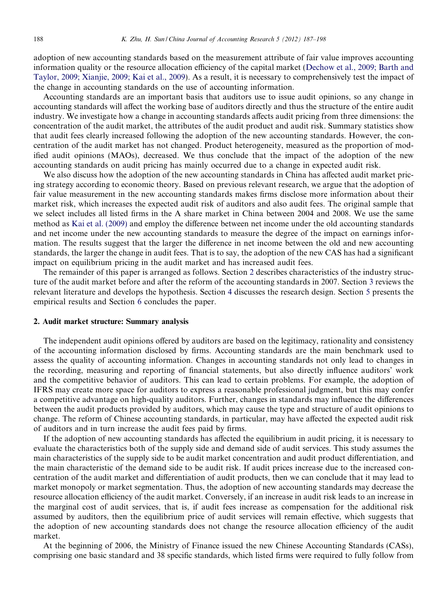adoption of new accounting standards based on the measurement attribute of fair value improves accounting information quality or the resource allocation efficiency of the capital market [\(Dechow et al., 2009; Barth and](#page--1-0) [Taylor, 2009; Xianjie, 2009; Kai et al., 2009](#page--1-0)). As a result, it is necessary to comprehensively test the impact of the change in accounting standards on the use of accounting information.

Accounting standards are an important basis that auditors use to issue audit opinions, so any change in accounting standards will affect the working base of auditors directly and thus the structure of the entire audit industry. We investigate how a change in accounting standards affects audit pricing from three dimensions: the concentration of the audit market, the attributes of the audit product and audit risk. Summary statistics show that audit fees clearly increased following the adoption of the new accounting standards. However, the concentration of the audit market has not changed. Product heterogeneity, measured as the proportion of modified audit opinions (MAOs), decreased. We thus conclude that the impact of the adoption of the new accounting standards on audit pricing has mainly occurred due to a change in expected audit risk.

We also discuss how the adoption of the new accounting standards in China has affected audit market pricing strategy according to economic theory. Based on previous relevant research, we argue that the adoption of fair value measurement in the new accounting standards makes firms disclose more information about their market risk, which increases the expected audit risk of auditors and also audit fees. The original sample that we select includes all listed firms in the A share market in China between 2004 and 2008. We use the same method as [Kai et al. \(2009\)](#page--1-0) and employ the difference between net income under the old accounting standards and net income under the new accounting standards to measure the degree of the impact on earnings information. The results suggest that the larger the difference in net income between the old and new accounting standards, the larger the change in audit fees. That is to say, the adoption of the new CAS has had a significant impact on equilibrium pricing in the audit market and has increased audit fees.

The remainder of this paper is arranged as follows. Section 2 describes characteristics of the industry structure of the audit market before and after the reform of the accounting standards in 2007. Section [3](#page--1-0) reviews the relevant literature and develops the hypothesis. Section [4](#page--1-0) discusses the research design. Section [5](#page--1-0) presents the empirical results and Section [6](#page--1-0) concludes the paper.

#### 2. Audit market structure: Summary analysis

The independent audit opinions offered by auditors are based on the legitimacy, rationality and consistency of the accounting information disclosed by firms. Accounting standards are the main benchmark used to assess the quality of accounting information. Changes in accounting standards not only lead to changes in the recording, measuring and reporting of financial statements, but also directly influence auditors' work and the competitive behavior of auditors. This can lead to certain problems. For example, the adoption of IFRS may create more space for auditors to express a reasonable professional judgment, but this may confer a competitive advantage on high-quality auditors. Further, changes in standards may influence the differences between the audit products provided by auditors, which may cause the type and structure of audit opinions to change. The reform of Chinese accounting standards, in particular, may have affected the expected audit risk of auditors and in turn increase the audit fees paid by firms.

If the adoption of new accounting standards has affected the equilibrium in audit pricing, it is necessary to evaluate the characteristics both of the supply side and demand side of audit services. This study assumes the main characteristics of the supply side to be audit market concentration and audit product differentiation, and the main characteristic of the demand side to be audit risk. If audit prices increase due to the increased concentration of the audit market and differentiation of audit products, then we can conclude that it may lead to market monopoly or market segmentation. Thus, the adoption of new accounting standards may decrease the resource allocation efficiency of the audit market. Conversely, if an increase in audit risk leads to an increase in the marginal cost of audit services, that is, if audit fees increase as compensation for the additional risk assumed by auditors, then the equilibrium price of audit services will remain effective, which suggests that the adoption of new accounting standards does not change the resource allocation efficiency of the audit market.

At the beginning of 2006, the Ministry of Finance issued the new Chinese Accounting Standards (CASs), comprising one basic standard and 38 specific standards, which listed firms were required to fully follow from